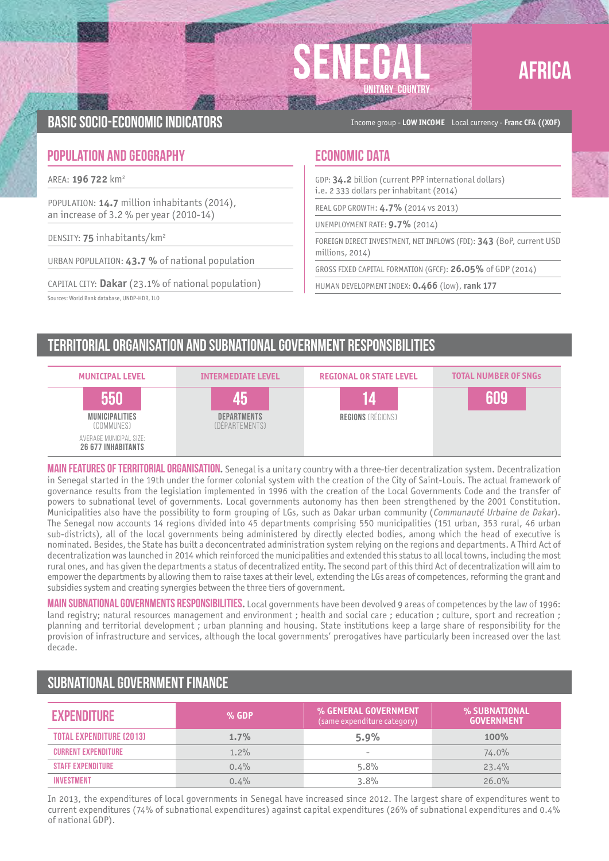



Basic socio-economic indicators Income group - **LOW INCOME** Local currency - **Franc CFA ((XOF)**

### **POPULATION AND GEOGRAPHY ECONOMIC DATA**

AREA: **196 722** km2

POPULATION: **14.7** million inhabitants (2014), an increase of 3.2 % per year (2010-14)

DENSITY: **75** inhabitants/km2

URBAN POPULATION: **43.7 %** of national population

CAPITAL CITY: **Dakar** (23.1% of national population)

Sources: World Bank database, UNDP-HDR, ILO

GDP: **34.2** billion (current PPP international dollars) i.e. 2 333 dollars per inhabitant (2014)

REAL GDP GROWTH: **4.7%** (2014 vs 2013)

UNEMPLOYMENT RATE: **9.7%** (2014)

FOREIGN DIRECT INVESTMENT, NET INFLOWS (FDI): **343** (BoP, current USD millions, 2014)

GROSS FIXED CAPITAL FORMATION (GFCF): **26.05%** of GDP (2014)

HUMAN DEVELOPMENT INDEX: **0.466** (low), **rank 177**

# Territorial organisation and subnational government responsibilities



MAIN FEATURES OF TERRITORIAL ORGANISATION. Senegal is a unitary country with a three-tier decentralization system. Decentralization in Senegal started in the 19th under the former colonial system with the creation of the City of Saint-Louis. The actual framework of governance results from the legislation implemented in 1996 with the creation of the Local Governments Code and the transfer of powers to subnational level of governments. Local governments autonomy has then been strengthened by the 2001 Constitution. Municipalities also have the possibility to form grouping of LGs, such as Dakar urban community (Communauté Urbaine de Dakar). The Senegal now accounts 14 regions divided into 45 departments comprising 550 municipalities (151 urban, 353 rural, 46 urban sub-districts), all of the local governments being administered by directly elected bodies, among which the head of executive is nominated. Besides, the State has built a deconcentrated administration system relying on the regions and departments. A Third Act of decentralization was launched in 2014 which reinforced the municipalities and extended this status to all local towns, including the most rural ones, and has given the departments a status of decentralized entity. The second part of this third Act of decentralization will aim to empower the departments by allowing them to raise taxes at their level, extending the LGs areas of competences, reforming the grant and subsidies system and creating synergies between the three tiers of government.

Main subnational governments responsibilities**.** Local governments have been devolved 9 areas of competences by the law of 1996: land registry; natural resources management and environment ; health and social care ; education ; culture, sport and recreation ; planning and territorial development ; urban planning and housing. State institutions keep a large share of responsibility for the provision of infrastructure and services, although the local governments' prerogatives have particularly been increased over the last decade.

## Subnational government finance

| <b>EXPENDITURE</b>              | $%$ GDP | % GENERAL GOVERNMENT<br>(same expenditure category) | % SUBNATIONAL<br><b>GOVERNMENT</b> |
|---------------------------------|---------|-----------------------------------------------------|------------------------------------|
| <b>TOTAL EXPENDITURE (2013)</b> | $1.7\%$ | 5.9%                                                | 100%                               |
| <b>CURRENT EXPENDITURE</b>      | $1.2\%$ | $\overline{\phantom{a}}$                            | 74.0%                              |
| <b><i>STAFF EXPENDITURE</i></b> | $0.4\%$ | 5.8%                                                | 23.4%                              |
| <b>INVESTMENT</b>               | $0.4\%$ | 3.8%                                                | 26.0%                              |

In 2013, the expenditures of local governments in Senegal have increased since 2012. The largest share of expenditures went to current expenditures (74% of subnational expenditures) against capital expenditures (26% of subnational expenditures and 0.4% of national GDP).